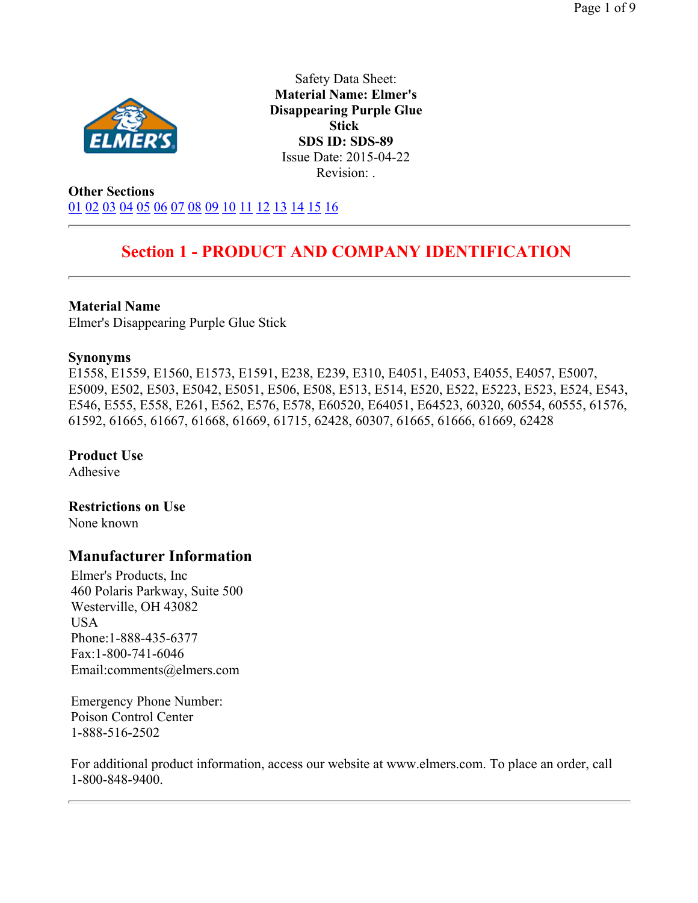

Safety Data Sheet: **Material Name: Elmer's Disappearing Purple Glue Stick SDS ID: SDS-89** Issue Date: 2015-04-22 Revision: .

**Other Sections** 01 02 03 04 05 06 07 08 09 10 11 12 13 14 15 16

## **Section 1 - PRODUCT AND COMPANY IDENTIFICATION**

#### **Material Name**

Elmer's Disappearing Purple Glue Stick

#### **Synonyms**

E1558, E1559, E1560, E1573, E1591, E238, E239, E310, E4051, E4053, E4055, E4057, E5007, E5009, E502, E503, E5042, E5051, E506, E508, E513, E514, E520, E522, E5223, E523, E524, E543, E546, E555, E558, E261, E562, E576, E578, E60520, E64051, E64523, 60320, 60554, 60555, 61576, 61592, 61665, 61667, 61668, 61669, 61715, 62428, 60307, 61665, 61666, 61669, 62428

**Product Use** 

Adhesive

**Restrictions on Use**  None known

### **Manufacturer Information**

Elmer's Products, Inc 460 Polaris Parkway, Suite 500 Westerville, OH 43082 USA Phone:1-888-435-6377 Fax:1-800-741-6046 Email:comments@elmers.com

Emergency Phone Number: Poison Control Center 1-888-516-2502

For additional product information, access our website at www.elmers.com. To place an order, call 1-800-848-9400.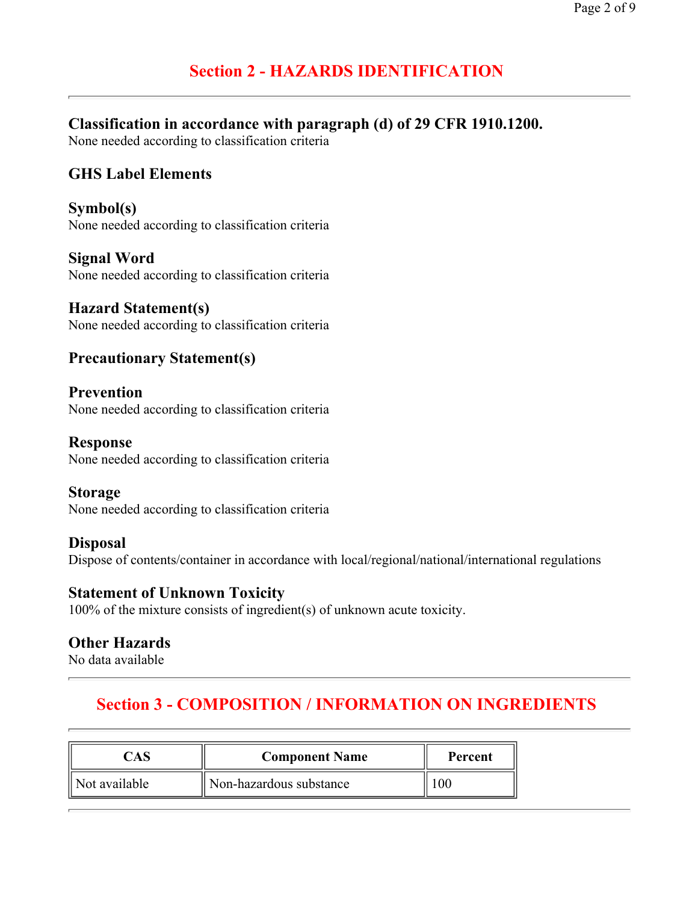# **Section 2 - HAZARDS IDENTIFICATION**

## **Classification in accordance with paragraph (d) of 29 CFR 1910.1200.**

None needed according to classification criteria

## **GHS Label Elements**

**Symbol(s)**  None needed according to classification criteria

**Signal Word**  None needed according to classification criteria

**Hazard Statement(s)**  None needed according to classification criteria

## **Precautionary Statement(s)**

**Prevention**  None needed according to classification criteria

**Response**  None needed according to classification criteria

**Storage**  None needed according to classification criteria

**Disposal**  Dispose of contents/container in accordance with local/regional/national/international regulations

#### **Statement of Unknown Toxicity**

100% of the mixture consists of ingredient(s) of unknown acute toxicity.

### **Other Hazards**

No data available

# **Section 3 - COMPOSITION / INFORMATION ON INGREDIENTS**

|               | <b>Component Name</b>   | Percent |
|---------------|-------------------------|---------|
| Not available | Non-hazardous substance |         |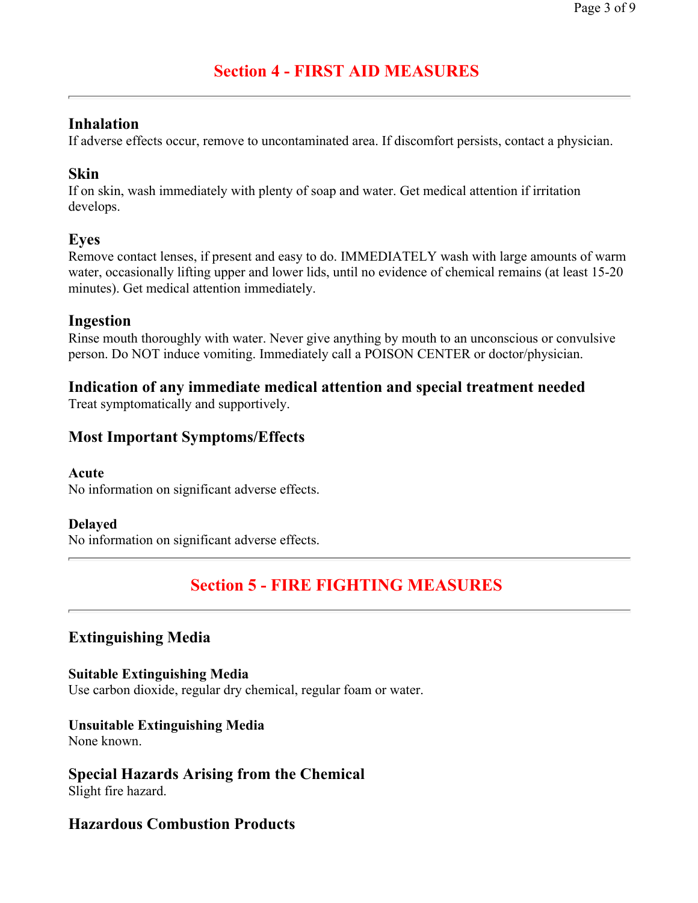# **Section 4 - FIRST AID MEASURES**

## **Inhalation**

If adverse effects occur, remove to uncontaminated area. If discomfort persists, contact a physician.

## **Skin**

If on skin, wash immediately with plenty of soap and water. Get medical attention if irritation develops.

## **Eyes**

Remove contact lenses, if present and easy to do. IMMEDIATELY wash with large amounts of warm water, occasionally lifting upper and lower lids, until no evidence of chemical remains (at least 15-20 minutes). Get medical attention immediately.

### **Ingestion**

Rinse mouth thoroughly with water. Never give anything by mouth to an unconscious or convulsive person. Do NOT induce vomiting. Immediately call a POISON CENTER or doctor/physician.

## **Indication of any immediate medical attention and special treatment needed**

Treat symptomatically and supportively.

## **Most Important Symptoms/Effects**

#### **Acute**

No information on significant adverse effects.

### **Delayed**

No information on significant adverse effects.

# **Section 5 - FIRE FIGHTING MEASURES**

## **Extinguishing Media**

**Suitable Extinguishing Media**  Use carbon dioxide, regular dry chemical, regular foam or water.

### **Unsuitable Extinguishing Media**

None known.

## **Special Hazards Arising from the Chemical**

Slight fire hazard.

## **Hazardous Combustion Products**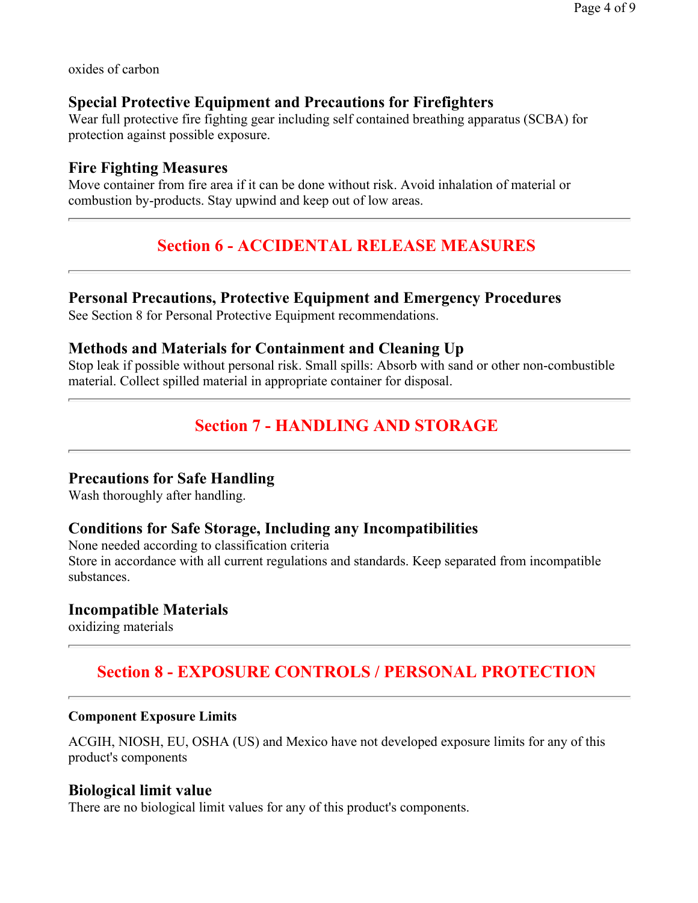oxides of carbon

### **Special Protective Equipment and Precautions for Firefighters**

Wear full protective fire fighting gear including self contained breathing apparatus (SCBA) for protection against possible exposure.

### **Fire Fighting Measures**

Move container from fire area if it can be done without risk. Avoid inhalation of material or combustion by-products. Stay upwind and keep out of low areas.

# **Section 6 - ACCIDENTAL RELEASE MEASURES**

## **Personal Precautions, Protective Equipment and Emergency Procedures**

See Section 8 for Personal Protective Equipment recommendations.

### **Methods and Materials for Containment and Cleaning Up**

Stop leak if possible without personal risk. Small spills: Absorb with sand or other non-combustible material. Collect spilled material in appropriate container for disposal.

# **Section 7 - HANDLING AND STORAGE**

## **Precautions for Safe Handling**

Wash thoroughly after handling.

### **Conditions for Safe Storage, Including any Incompatibilities**

None needed according to classification criteria Store in accordance with all current regulations and standards. Keep separated from incompatible substances.

### **Incompatible Materials**

oxidizing materials

## **Section 8 - EXPOSURE CONTROLS / PERSONAL PROTECTION**

#### **Component Exposure Limits**

ACGIH, NIOSH, EU, OSHA (US) and Mexico have not developed exposure limits for any of this product's components

#### **Biological limit value**

There are no biological limit values for any of this product's components.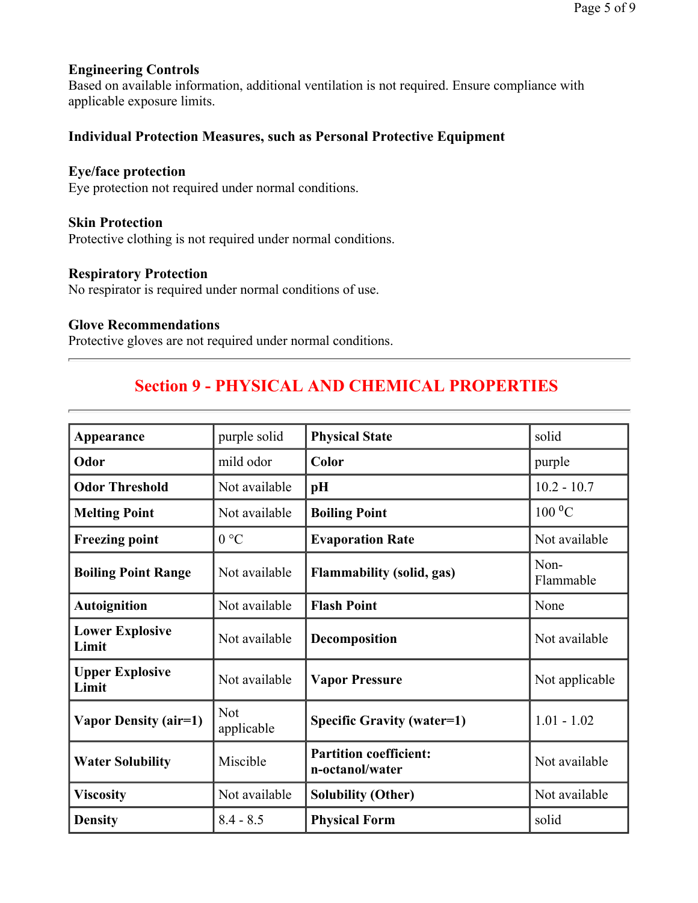#### **Engineering Controls**

Based on available information, additional ventilation is not required. Ensure compliance with applicable exposure limits.

#### **Individual Protection Measures, such as Personal Protective Equipment**

#### **Eye/face protection**

Eye protection not required under normal conditions.

#### **Skin Protection**

Protective clothing is not required under normal conditions.

#### **Respiratory Protection**

No respirator is required under normal conditions of use.

#### **Glove Recommendations**

Protective gloves are not required under normal conditions.

## **Section 9 - PHYSICAL AND CHEMICAL PROPERTIES**

| Appearance                      | purple solid             | <b>Physical State</b>                            | solid             |
|---------------------------------|--------------------------|--------------------------------------------------|-------------------|
| Odor                            | mild odor                | Color                                            | purple            |
| <b>Odor Threshold</b>           | Not available            | pH                                               | $10.2 - 10.7$     |
| <b>Melting Point</b>            | Not available            | <b>Boiling Point</b>                             | $100\text{ °C}$   |
| <b>Freezing point</b>           | 0 °C                     | <b>Evaporation Rate</b>                          | Not available     |
| <b>Boiling Point Range</b>      | Not available            | <b>Flammability (solid, gas)</b>                 | Non-<br>Flammable |
| <b>Autoignition</b>             | Not available            | <b>Flash Point</b>                               | None              |
| <b>Lower Explosive</b><br>Limit | Not available            | Decomposition                                    | Not available     |
| <b>Upper Explosive</b><br>Limit | Not available            | <b>Vapor Pressure</b>                            | Not applicable    |
| Vapor Density (air=1)           | <b>Not</b><br>applicable | <b>Specific Gravity (water=1)</b>                | $1.01 - 1.02$     |
| <b>Water Solubility</b>         | Miscible                 | <b>Partition coefficient:</b><br>n-octanol/water | Not available     |
| <b>Viscosity</b>                | Not available            | <b>Solubility (Other)</b>                        | Not available     |
| <b>Density</b>                  | $8.4 - 8.5$              | <b>Physical Form</b>                             | solid             |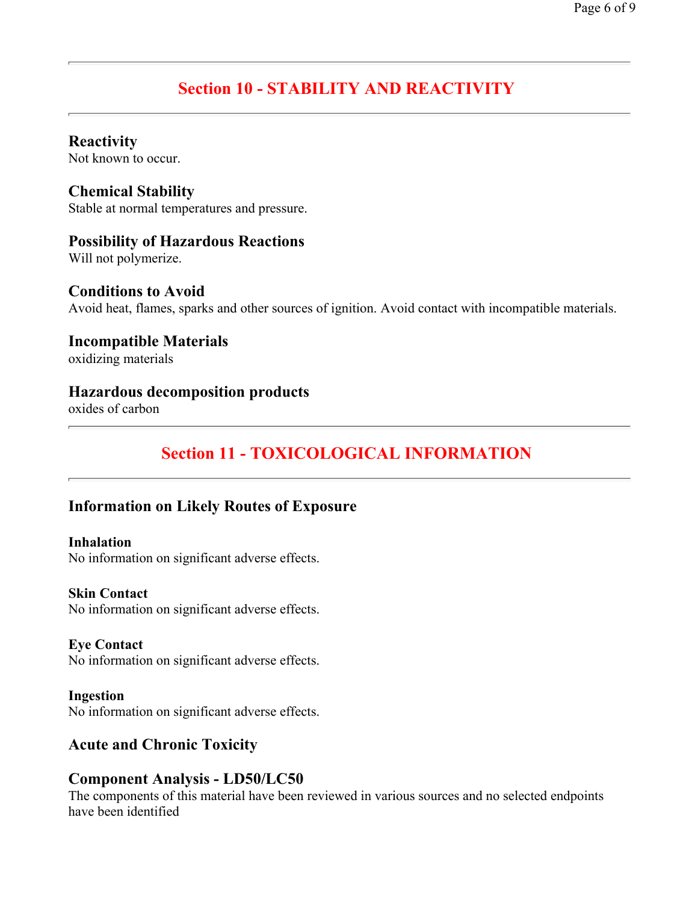# **Section 10 - STABILITY AND REACTIVITY**

#### **Reactivity**

Not known to occur.

#### **Chemical Stability**

Stable at normal temperatures and pressure.

### **Possibility of Hazardous Reactions**

Will not polymerize.

#### **Conditions to Avoid**

Avoid heat, flames, sparks and other sources of ignition. Avoid contact with incompatible materials.

# **Incompatible Materials**

oxidizing materials

### **Hazardous decomposition products**

oxides of carbon

# **Section 11 - TOXICOLOGICAL INFORMATION**

## **Information on Likely Routes of Exposure**

#### **Inhalation**

No information on significant adverse effects.

#### **Skin Contact**

No information on significant adverse effects.

#### **Eye Contact**

No information on significant adverse effects.

#### **Ingestion**  No information on significant adverse effects.

## **Acute and Chronic Toxicity**

## **Component Analysis - LD50/LC50**

The components of this material have been reviewed in various sources and no selected endpoints have been identified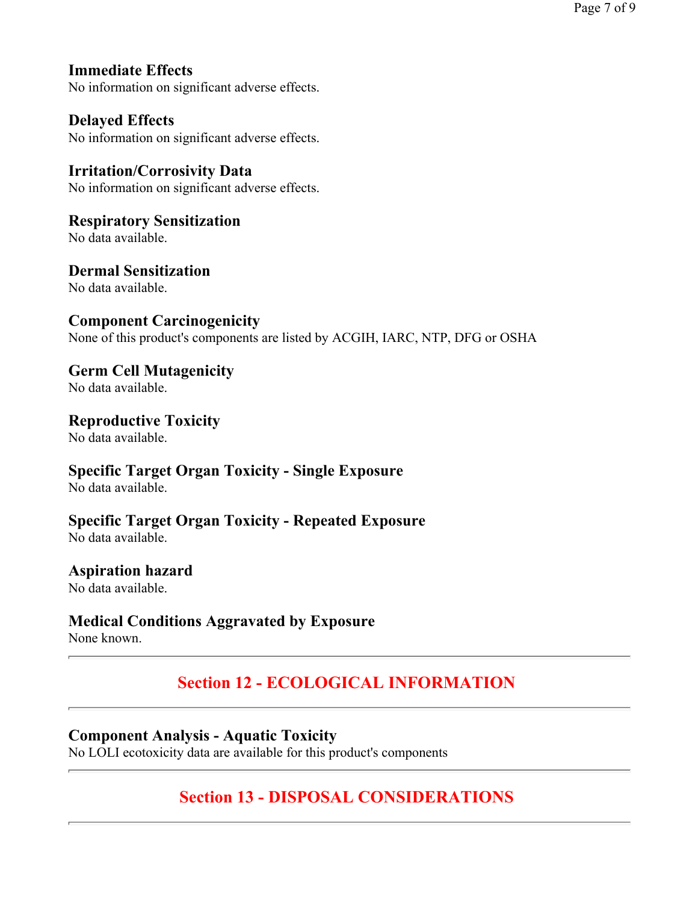## **Immediate Effects**

No information on significant adverse effects.

#### **Delayed Effects**

No information on significant adverse effects.

#### **Irritation/Corrosivity Data**  No information on significant adverse effects.

#### **Respiratory Sensitization**  No data available.

**Dermal Sensitization** 

## No data available.

### **Component Carcinogenicity**

None of this product's components are listed by ACGIH, IARC, NTP, DFG or OSHA

## **Germ Cell Mutagenicity**

No data available.

#### **Reproductive Toxicity**

No data available.

## **Specific Target Organ Toxicity - Single Exposure**

No data available.

### **Specific Target Organ Toxicity - Repeated Exposure**

No data available.

### **Aspiration hazard**

No data available.

## **Medical Conditions Aggravated by Exposure**

None known.

# **Section 12 - ECOLOGICAL INFORMATION**

## **Component Analysis - Aquatic Toxicity**

No LOLI ecotoxicity data are available for this product's components

# **Section 13 - DISPOSAL CONSIDERATIONS**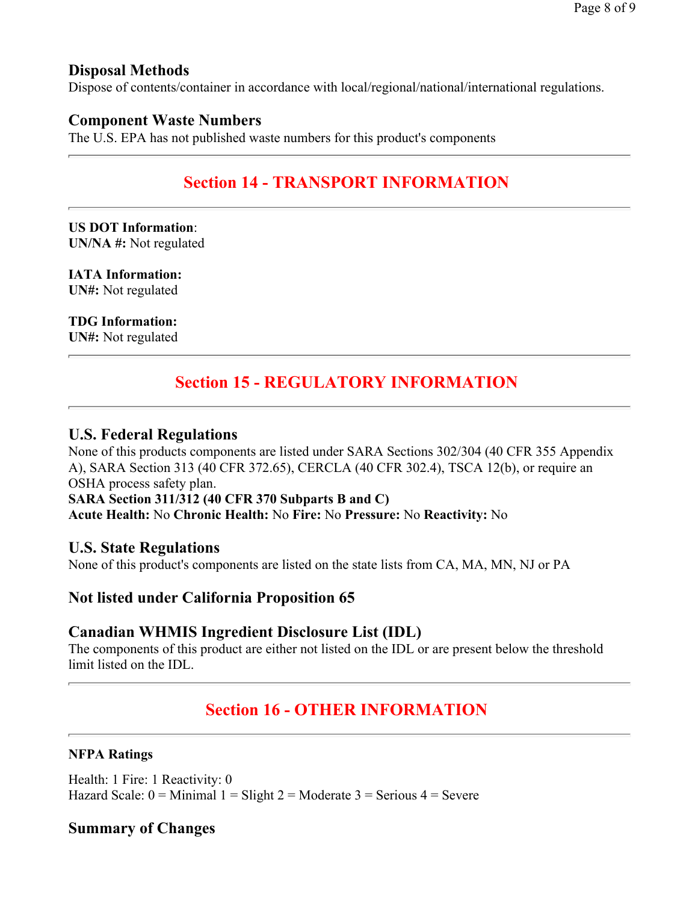Page 8 of 9

### **Disposal Methods**

Dispose of contents/container in accordance with local/regional/national/international regulations.

### **Component Waste Numbers**

The U.S. EPA has not published waste numbers for this product's components

## **Section 14 - TRANSPORT INFORMATION**

**US DOT Information**: **UN/NA #:** Not regulated

**IATA Information: UN#:** Not regulated

**TDG Information:**

**UN#:** Not regulated

## **Section 15 - REGULATORY INFORMATION**

#### **U.S. Federal Regulations**

None of this products components are listed under SARA Sections 302/304 (40 CFR 355 Appendix A), SARA Section 313 (40 CFR 372.65), CERCLA (40 CFR 302.4), TSCA 12(b), or require an OSHA process safety plan. **SARA Section 311/312 (40 CFR 370 Subparts B and C) Acute Health:** No **Chronic Health:** No **Fire:** No **Pressure:** No **Reactivity:** No

#### **U.S. State Regulations**

None of this product's components are listed on the state lists from CA, MA, MN, NJ or PA

## **Not listed under California Proposition 65**

### **Canadian WHMIS Ingredient Disclosure List (IDL)**

The components of this product are either not listed on the IDL or are present below the threshold limit listed on the IDL.

## **Section 16 - OTHER INFORMATION**

#### **NFPA Ratings**

Health: 1 Fire: 1 Reactivity: 0 Hazard Scale:  $0 =$  Minimal  $1 =$  Slight  $2 =$  Moderate  $3 =$  Serious  $4 =$  Severe

#### **Summary of Changes**